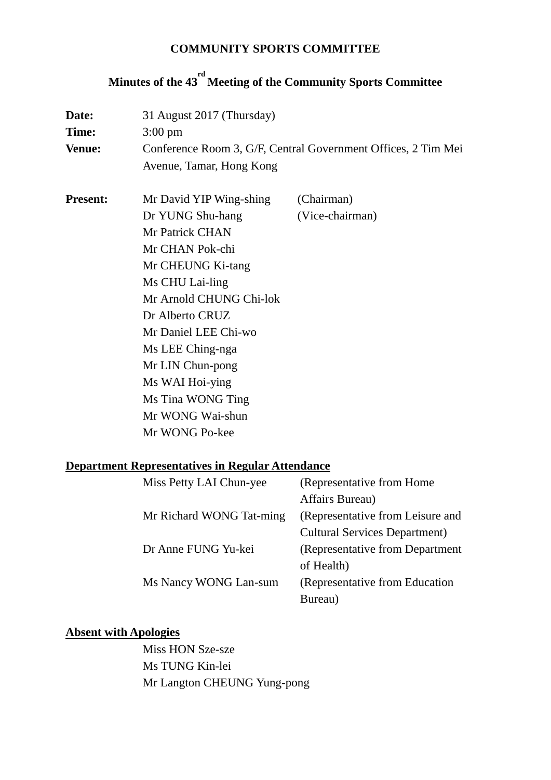#### **COMMUNITY SPORTS COMMITTEE**

# **Minutes of the 43 rd Meeting of the Community Sports Committee**

| Date:           | 31 August 2017 (Thursday)                                     |                 |  |
|-----------------|---------------------------------------------------------------|-----------------|--|
| Time:           | $3:00 \text{ pm}$                                             |                 |  |
| <b>Venue:</b>   | Conference Room 3, G/F, Central Government Offices, 2 Tim Mei |                 |  |
|                 | Avenue, Tamar, Hong Kong                                      |                 |  |
| <b>Present:</b> | Mr David YIP Wing-shing                                       | (Chairman)      |  |
|                 | Dr YUNG Shu-hang                                              | (Vice-chairman) |  |
|                 | Mr Patrick CHAN                                               |                 |  |
|                 | Mr CHAN Pok-chi                                               |                 |  |
|                 | Mr CHEUNG Ki-tang                                             |                 |  |
|                 | Ms CHU Lai-ling                                               |                 |  |
|                 | Mr Arnold CHUNG Chi-lok                                       |                 |  |
|                 | Dr Alberto CRUZ                                               |                 |  |
|                 | Mr Daniel LEE Chi-wo                                          |                 |  |
|                 | Ms LEE Ching-nga                                              |                 |  |
|                 | Mr LIN Chun-pong                                              |                 |  |
|                 | Ms WAI Hoi-ying                                               |                 |  |
|                 | Ms Tina WONG Ting                                             |                 |  |
|                 | Mr WONG Wai-shun                                              |                 |  |
|                 | Mr WONG Po-kee                                                |                 |  |
|                 |                                                               |                 |  |

## **Department Representatives in Regular Attendance**

| Miss Petty LAI Chun-yee  | (Representative from Home)           |
|--------------------------|--------------------------------------|
|                          | Affairs Bureau)                      |
| Mr Richard WONG Tat-ming | (Representative from Leisure and     |
|                          | <b>Cultural Services Department)</b> |
| Dr Anne FUNG Yu-kei      | (Representative from Department      |
|                          | of Health)                           |
| Ms Nancy WONG Lan-sum    | (Representative from Education)      |
|                          | Bureau)                              |

### **Absent with Apologies**

Miss HON Sze-sze Ms TUNG Kin-lei Mr Langton CHEUNG Yung-pong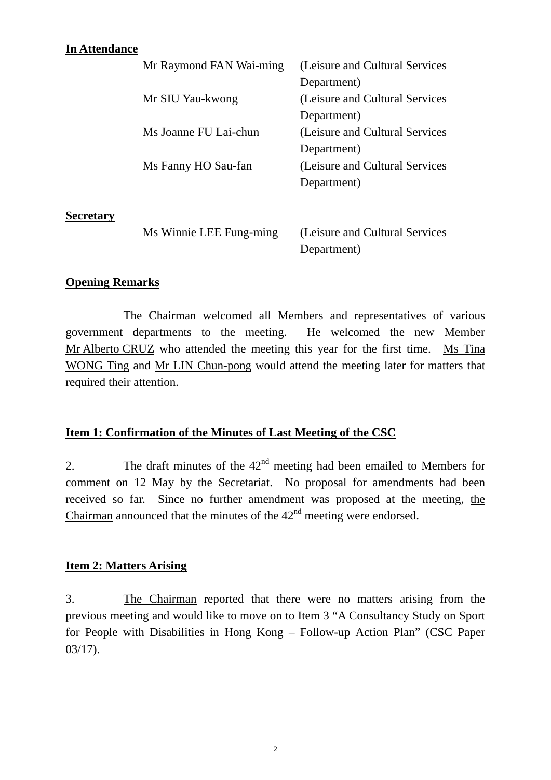#### **In Attendance**

| Mr Raymond FAN Wai-ming | (Leisure and Cultural Services  |
|-------------------------|---------------------------------|
|                         | Department)                     |
| Mr SIU Yau-kwong        | (Leisure and Cultural Services  |
|                         | Department)                     |
| Ms Joanne FU Lai-chun   | (Leisure and Cultural Services) |
|                         | Department)                     |
| Ms Fanny HO Sau-fan     | (Leisure and Cultural Services  |
|                         | Department)                     |
|                         |                                 |

#### **Secretary**

| Ms Winnie LEE Fung-ming | (Leisure and Cultural Services) |
|-------------------------|---------------------------------|
|                         | Department)                     |

#### **Opening Remarks**

The Chairman welcomed all Members and representatives of various government departments to the meeting. He welcomed the new Member Mr Alberto CRUZ who attended the meeting this year for the first time. Ms Tina WONG Ting and Mr LIN Chun-pong would attend the meeting later for matters that required their attention.

#### **Item 1: Confirmation of the Minutes of Last Meeting of the CSC**

2. The draft minutes of the  $42<sup>nd</sup>$  meeting had been emailed to Members for comment on 12 May by the Secretariat. No proposal for amendments had been received so far. Since no further amendment was proposed at the meeting, the Chairman announced that the minutes of the  $42<sup>nd</sup>$  meeting were endorsed.

#### **Item 2: Matters Arising**

3. The Chairman reported that there were no matters arising from the previous meeting and would like to move on to Item 3 "A Consultancy Study on Sport for People with Disabilities in Hong Kong – Follow-up Action Plan" (CSC Paper 03/17).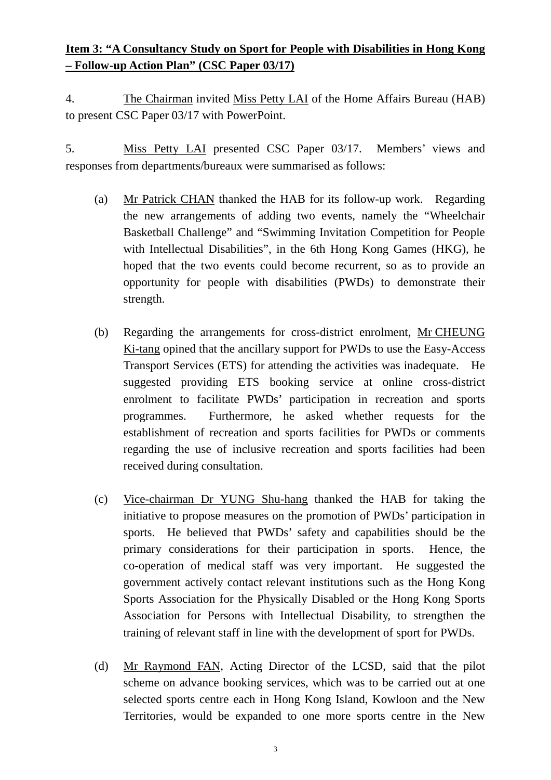## **Item 3: "A Consultancy Study on Sport for People with Disabilities in Hong Kong – Follow-up Action Plan" (CSC Paper 03/17)**

4. The Chairman invited Miss Petty LAI of the Home Affairs Bureau (HAB) to present CSC Paper 03/17 with PowerPoint.

5. Miss Petty LAI presented CSC Paper 03/17. Members' views and responses from departments/bureaux were summarised as follows:

- (a) Mr Patrick CHAN thanked the HAB for its follow-up work. Regarding the new arrangements of adding two events, namely the "Wheelchair Basketball Challenge" and "Swimming Invitation Competition for People with Intellectual Disabilities", in the 6th Hong Kong Games (HKG), he hoped that the two events could become recurrent, so as to provide an opportunity for people with disabilities (PWDs) to demonstrate their strength.
- (b) Regarding the arrangements for cross-district enrolment, Mr CHEUNG Ki-tang opined that the ancillary support for PWDs to use the Easy-Access Transport Services (ETS) for attending the activities was inadequate. He suggested providing ETS booking service at online cross-district enrolment to facilitate PWDs' participation in recreation and sports programmes. Furthermore, he asked whether requests for the establishment of recreation and sports facilities for PWDs or comments regarding the use of inclusive recreation and sports facilities had been received during consultation.
- (c) Vice-chairman Dr YUNG Shu-hang thanked the HAB for taking the initiative to propose measures on the promotion of PWDs' participation in sports. He believed that PWDs' safety and capabilities should be the primary considerations for their participation in sports. Hence, the co-operation of medical staff was very important. He suggested the government actively contact relevant institutions such as the Hong Kong Sports Association for the Physically Disabled or the Hong Kong Sports Association for Persons with Intellectual Disability, to strengthen the training of relevant staff in line with the development of sport for PWDs.
- (d) Mr Raymond FAN, Acting Director of the LCSD, said that the pilot scheme on advance booking services, which was to be carried out at one selected sports centre each in Hong Kong Island, Kowloon and the New Territories, would be expanded to one more sports centre in the New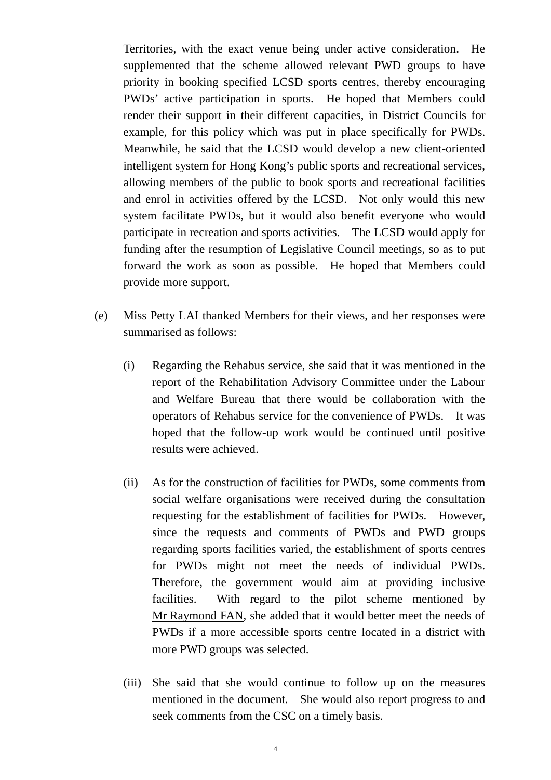Territories, with the exact venue being under active consideration. He supplemented that the scheme allowed relevant PWD groups to have priority in booking specified LCSD sports centres, thereby encouraging PWDs' active participation in sports. He hoped that Members could render their support in their different capacities, in District Councils for example, for this policy which was put in place specifically for PWDs. Meanwhile, he said that the LCSD would develop a new client-oriented intelligent system for Hong Kong's public sports and recreational services, allowing members of the public to book sports and recreational facilities and enrol in activities offered by the LCSD. Not only would this new system facilitate PWDs, but it would also benefit everyone who would participate in recreation and sports activities. The LCSD would apply for funding after the resumption of Legislative Council meetings, so as to put forward the work as soon as possible. He hoped that Members could provide more support.

- (e) Miss Petty LAI thanked Members for their views, and her responses were summarised as follows:
	- (i) Regarding the Rehabus service, she said that it was mentioned in the report of the Rehabilitation Advisory Committee under the Labour and Welfare Bureau that there would be collaboration with the operators of Rehabus service for the convenience of PWDs. It was hoped that the follow-up work would be continued until positive results were achieved.
	- (ii) As for the construction of facilities for PWDs, some comments from social welfare organisations were received during the consultation requesting for the establishment of facilities for PWDs. However, since the requests and comments of PWDs and PWD groups regarding sports facilities varied, the establishment of sports centres for PWDs might not meet the needs of individual PWDs. Therefore, the government would aim at providing inclusive facilities. With regard to the pilot scheme mentioned by Mr Raymond FAN, she added that it would better meet the needs of PWDs if a more accessible sports centre located in a district with more PWD groups was selected.
	- (iii) She said that she would continue to follow up on the measures mentioned in the document. She would also report progress to and seek comments from the CSC on a timely basis.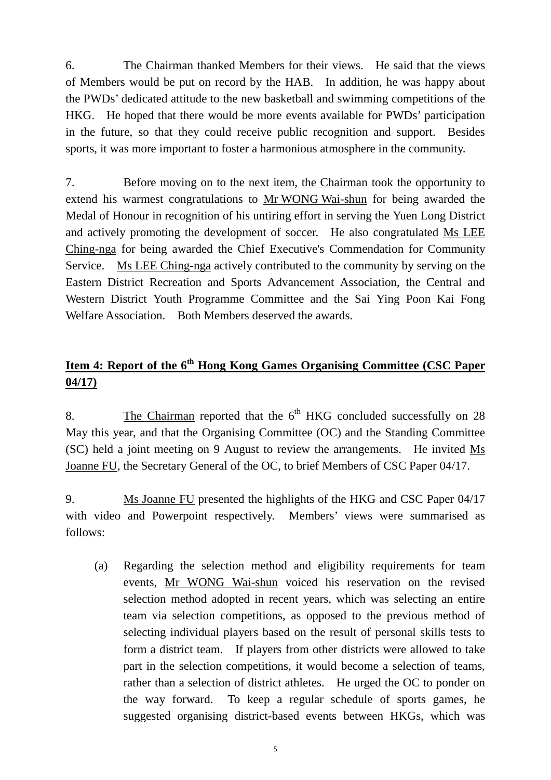6. The Chairman thanked Members for their views. He said that the views of Members would be put on record by the HAB. In addition, he was happy about the PWDs' dedicated attitude to the new basketball and swimming competitions of the HKG. He hoped that there would be more events available for PWDs' participation in the future, so that they could receive public recognition and support. Besides sports, it was more important to foster a harmonious atmosphere in the community.

7. Before moving on to the next item, the Chairman took the opportunity to extend his warmest congratulations to Mr WONG Wai-shun for being awarded the Medal of Honour in recognition of his untiring effort in serving the Yuen Long District and actively promoting the development of soccer. He also congratulated Ms LEE Ching-nga for being awarded the Chief Executive's Commendation for Community Service. Ms LEE Ching-nga actively contributed to the community by serving on the Eastern District Recreation and Sports Advancement Association, the Central and Western District Youth Programme Committee and the Sai Ying Poon Kai Fong Welfare Association. Both Members deserved the awards.

## **Item 4: Report of the 6th Hong Kong Games Organising Committee (CSC Paper 04/17)**

8. The Chairman reported that the  $6<sup>th</sup>$  HKG concluded successfully on 28 May this year, and that the Organising Committee (OC) and the Standing Committee (SC) held a joint meeting on 9 August to review the arrangements. He invited Ms Joanne FU, the Secretary General of the OC, to brief Members of CSC Paper 04/17.

9. Ms Joanne FU presented the highlights of the HKG and CSC Paper 04/17 with video and Powerpoint respectively. Members' views were summarised as follows:

(a) Regarding the selection method and eligibility requirements for team events, Mr WONG Wai-shun voiced his reservation on the revised selection method adopted in recent years, which was selecting an entire team via selection competitions, as opposed to the previous method of selecting individual players based on the result of personal skills tests to form a district team. If players from other districts were allowed to take part in the selection competitions, it would become a selection of teams, rather than a selection of district athletes. He urged the OC to ponder on the way forward. To keep a regular schedule of sports games, he suggested organising district-based events between HKGs, which was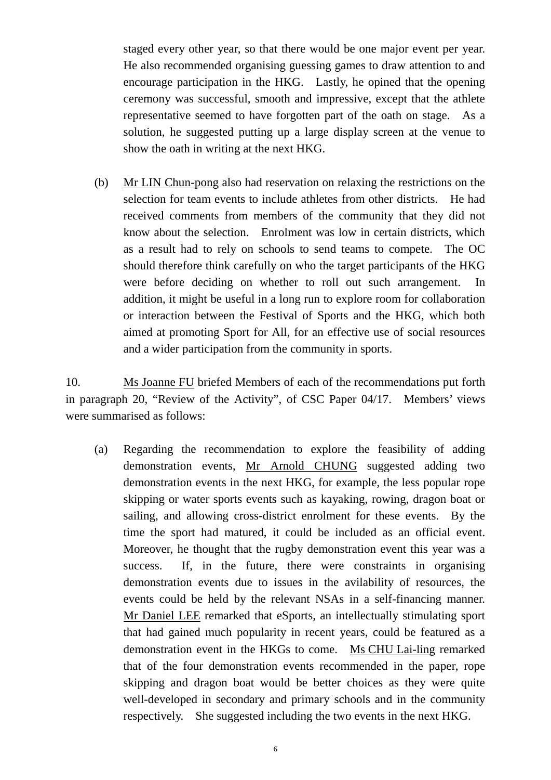staged every other year, so that there would be one major event per year. He also recommended organising guessing games to draw attention to and encourage participation in the HKG. Lastly, he opined that the opening ceremony was successful, smooth and impressive, except that the athlete representative seemed to have forgotten part of the oath on stage. As a solution, he suggested putting up a large display screen at the venue to show the oath in writing at the next HKG.

(b) Mr LIN Chun-pong also had reservation on relaxing the restrictions on the selection for team events to include athletes from other districts. He had received comments from members of the community that they did not know about the selection. Enrolment was low in certain districts, which as a result had to rely on schools to send teams to compete. The OC should therefore think carefully on who the target participants of the HKG were before deciding on whether to roll out such arrangement. In addition, it might be useful in a long run to explore room for collaboration or interaction between the Festival of Sports and the HKG, which both aimed at promoting Sport for All, for an effective use of social resources and a wider participation from the community in sports.

10. Ms Joanne FU briefed Members of each of the recommendations put forth in paragraph 20, "Review of the Activity", of CSC Paper 04/17. Members' views were summarised as follows:

(a) Regarding the recommendation to explore the feasibility of adding demonstration events, Mr Arnold CHUNG suggested adding two demonstration events in the next HKG, for example, the less popular rope skipping or water sports events such as kayaking, rowing, dragon boat or sailing, and allowing cross-district enrolment for these events. By the time the sport had matured, it could be included as an official event. Moreover, he thought that the rugby demonstration event this year was a success. If, in the future, there were constraints in organising demonstration events due to issues in the avilability of resources, the events could be held by the relevant NSAs in a self-financing manner. Mr Daniel LEE remarked that eSports, an intellectually stimulating sport that had gained much popularity in recent years, could be featured as a demonstration event in the HKGs to come. Ms CHU Lai-ling remarked that of the four demonstration events recommended in the paper, rope skipping and dragon boat would be better choices as they were quite well-developed in secondary and primary schools and in the community respectively. She suggested including the two events in the next HKG.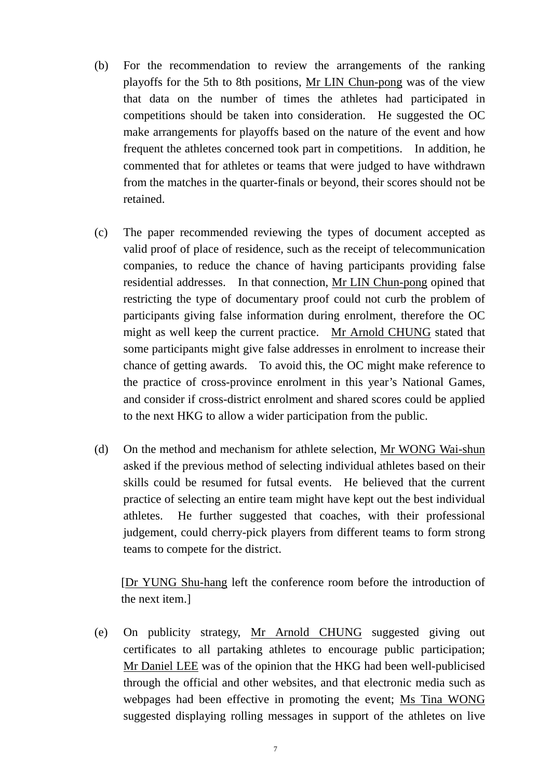- (b) For the recommendation to review the arrangements of the ranking playoffs for the 5th to 8th positions, Mr LIN Chun-pong was of the view that data on the number of times the athletes had participated in competitions should be taken into consideration. He suggested the OC make arrangements for playoffs based on the nature of the event and how frequent the athletes concerned took part in competitions. In addition, he commented that for athletes or teams that were judged to have withdrawn from the matches in the quarter-finals or beyond, their scores should not be retained.
- (c) The paper recommended reviewing the types of document accepted as valid proof of place of residence, such as the receipt of telecommunication companies, to reduce the chance of having participants providing false residential addresses. In that connection, Mr LIN Chun-pong opined that restricting the type of documentary proof could not curb the problem of participants giving false information during enrolment, therefore the OC might as well keep the current practice. Mr Arnold CHUNG stated that some participants might give false addresses in enrolment to increase their chance of getting awards. To avoid this, the OC might make reference to the practice of cross-province enrolment in this year's National Games, and consider if cross-district enrolment and shared scores could be applied to the next HKG to allow a wider participation from the public.
- (d) On the method and mechanism for athlete selection, Mr WONG Wai-shun asked if the previous method of selecting individual athletes based on their skills could be resumed for futsal events. He believed that the current practice of selecting an entire team might have kept out the best individual athletes. He further suggested that coaches, with their professional judgement, could cherry-pick players from different teams to form strong teams to compete for the district.

[Dr YUNG Shu-hang left the conference room before the introduction of the next item.]

(e) On publicity strategy, Mr Arnold CHUNG suggested giving out certificates to all partaking athletes to encourage public participation; Mr Daniel LEE was of the opinion that the HKG had been well-publicised through the official and other websites, and that electronic media such as webpages had been effective in promoting the event; Ms Tina WONG suggested displaying rolling messages in support of the athletes on live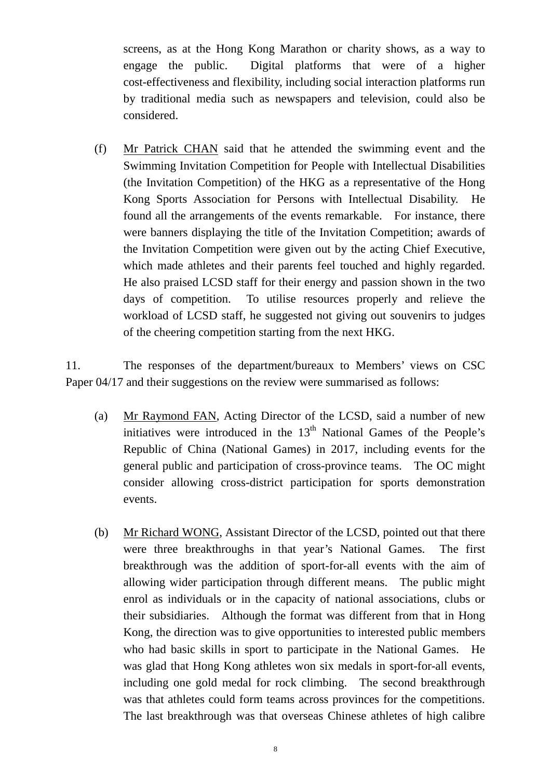screens, as at the Hong Kong Marathon or charity shows, as a way to engage the public. Digital platforms that were of a higher cost-effectiveness and flexibility, including social interaction platforms run by traditional media such as newspapers and television, could also be considered.

(f) Mr Patrick CHAN said that he attended the swimming event and the Swimming Invitation Competition for People with Intellectual Disabilities (the Invitation Competition) of the HKG as a representative of the Hong Kong Sports Association for Persons with Intellectual Disability. He found all the arrangements of the events remarkable. For instance, there were banners displaying the title of the Invitation Competition; awards of the Invitation Competition were given out by the acting Chief Executive, which made athletes and their parents feel touched and highly regarded. He also praised LCSD staff for their energy and passion shown in the two days of competition. To utilise resources properly and relieve the workload of LCSD staff, he suggested not giving out souvenirs to judges of the cheering competition starting from the next HKG.

11. The responses of the department/bureaux to Members' views on CSC Paper 04/17 and their suggestions on the review were summarised as follows:

- (a) Mr Raymond FAN, Acting Director of the LCSD, said a number of new initiatives were introduced in the  $13<sup>th</sup>$  National Games of the People's Republic of China (National Games) in 2017, including events for the general public and participation of cross-province teams. The OC might consider allowing cross-district participation for sports demonstration events.
- (b) Mr Richard WONG, Assistant Director of the LCSD, pointed out that there were three breakthroughs in that year's National Games. The first breakthrough was the addition of sport-for-all events with the aim of allowing wider participation through different means. The public might enrol as individuals or in the capacity of national associations, clubs or their subsidiaries. Although the format was different from that in Hong Kong, the direction was to give opportunities to interested public members who had basic skills in sport to participate in the National Games. He was glad that Hong Kong athletes won six medals in sport-for-all events, including one gold medal for rock climbing. The second breakthrough was that athletes could form teams across provinces for the competitions. The last breakthrough was that overseas Chinese athletes of high calibre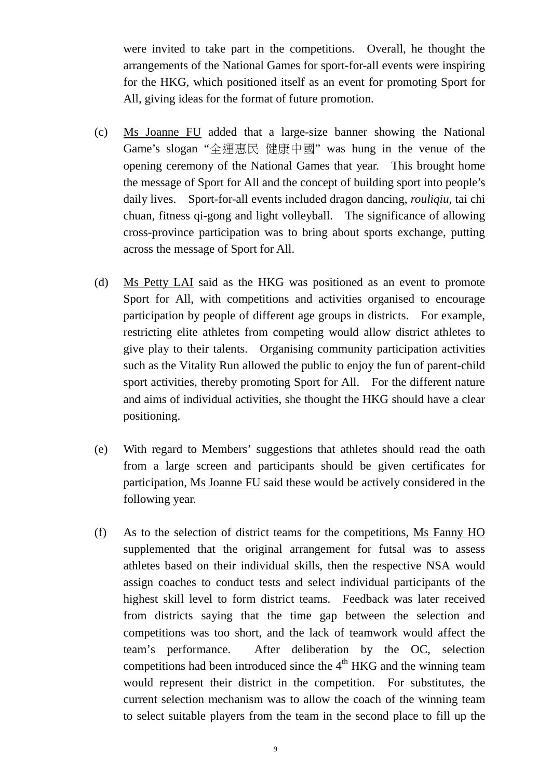were invited to take part in the competitions. Overall, he thought the arrangements of the National Games for sport-for-all events were inspiring for the HKG, which positioned itself as an event for promoting Sport for All, giving ideas for the format of future promotion.

- (c) Ms Joanne FU added that a large-size banner showing the National Game's slogan "全運惠民 健康中國" was hung in the venue of the opening ceremony of the National Games that year. This brought home the message of Sport for All and the concept of building sport into people's daily lives. Sport-for-all events included dragon dancing, *rouliqiu*, tai chi chuan, fitness qi-gong and light volleyball. The significance of allowing cross-province participation was to bring about sports exchange, putting across the message of Sport for All.
- (d) Ms Petty LAI said as the HKG was positioned as an event to promote Sport for All, with competitions and activities organised to encourage participation by people of different age groups in districts. For example, restricting elite athletes from competing would allow district athletes to give play to their talents. Organising community participation activities such as the Vitality Run allowed the public to enjoy the fun of parent-child sport activities, thereby promoting Sport for All. For the different nature and aims of individual activities, she thought the HKG should have a clear positioning.
- (e) With regard to Members' suggestions that athletes should read the oath from a large screen and participants should be given certificates for participation, Ms Joanne FU said these would be actively considered in the following year.
- (f) As to the selection of district teams for the competitions, Ms Fanny HO supplemented that the original arrangement for futsal was to assess athletes based on their individual skills, then the respective NSA would assign coaches to conduct tests and select individual participants of the highest skill level to form district teams. Feedback was later received from districts saying that the time gap between the selection and competitions was too short, and the lack of teamwork would affect the team's performance. After deliberation by the OC, selection competitions had been introduced since the  $4<sup>th</sup>$  HKG and the winning team would represent their district in the competition. For substitutes, the current selection mechanism was to allow the coach of the winning team to select suitable players from the team in the second place to fill up the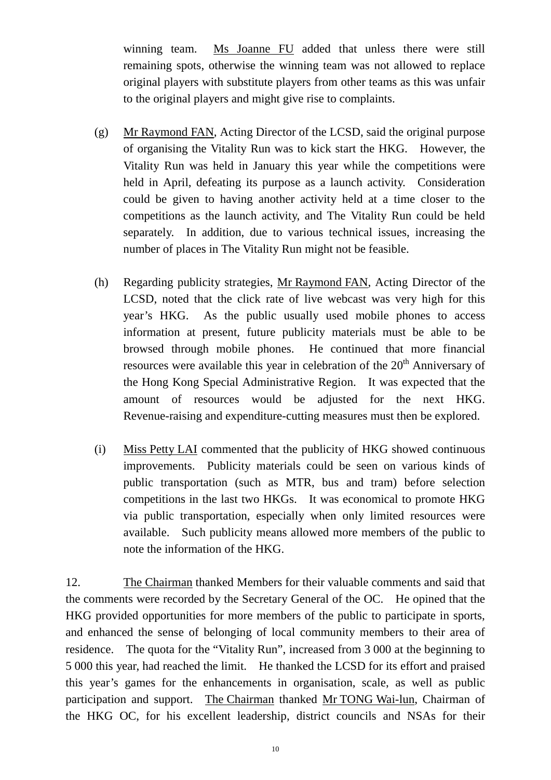winning team. Ms Joanne FU added that unless there were still remaining spots, otherwise the winning team was not allowed to replace original players with substitute players from other teams as this was unfair to the original players and might give rise to complaints.

- (g) Mr Raymond FAN, Acting Director of the LCSD, said the original purpose of organising the Vitality Run was to kick start the HKG. However, the Vitality Run was held in January this year while the competitions were held in April, defeating its purpose as a launch activity. Consideration could be given to having another activity held at a time closer to the competitions as the launch activity, and The Vitality Run could be held separately. In addition, due to various technical issues, increasing the number of places in The Vitality Run might not be feasible.
- (h) Regarding publicity strategies, Mr Raymond FAN, Acting Director of the LCSD, noted that the click rate of live webcast was very high for this year's HKG. As the public usually used mobile phones to access information at present, future publicity materials must be able to be browsed through mobile phones. He continued that more financial resources were available this year in celebration of the 20<sup>th</sup> Anniversary of the Hong Kong Special Administrative Region. It was expected that the amount of resources would be adjusted for the next HKG. Revenue-raising and expenditure-cutting measures must then be explored.
- (i) Miss Petty LAI commented that the publicity of HKG showed continuous improvements. Publicity materials could be seen on various kinds of public transportation (such as MTR, bus and tram) before selection competitions in the last two HKGs. It was economical to promote HKG via public transportation, especially when only limited resources were available. Such publicity means allowed more members of the public to note the information of the HKG.

12. The Chairman thanked Members for their valuable comments and said that the comments were recorded by the Secretary General of the OC. He opined that the HKG provided opportunities for more members of the public to participate in sports, and enhanced the sense of belonging of local community members to their area of residence. The quota for the "Vitality Run", increased from 3 000 at the beginning to 5 000 this year, had reached the limit. He thanked the LCSD for its effort and praised this year's games for the enhancements in organisation, scale, as well as public participation and support. The Chairman thanked Mr TONG Wai-lun, Chairman of the HKG OC, for his excellent leadership, district councils and NSAs for their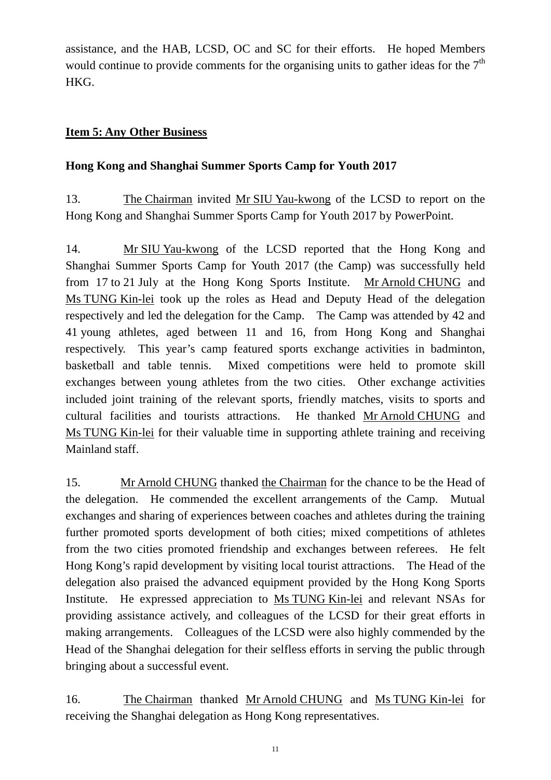assistance, and the HAB, LCSD, OC and SC for their efforts. He hoped Members would continue to provide comments for the organising units to gather ideas for the  $7<sup>th</sup>$ HKG.

### **Item 5: Any Other Business**

### **Hong Kong and Shanghai Summer Sports Camp for Youth 2017**

13. The Chairman invited Mr SIU Yau-kwong of the LCSD to report on the Hong Kong and Shanghai Summer Sports Camp for Youth 2017 by PowerPoint.

14. Mr SIU Yau-kwong of the LCSD reported that the Hong Kong and Shanghai Summer Sports Camp for Youth 2017 (the Camp) was successfully held from 17 to 21 July at the Hong Kong Sports Institute. Mr Arnold CHUNG and Ms TUNG Kin-lei took up the roles as Head and Deputy Head of the delegation respectively and led the delegation for the Camp. The Camp was attended by 42 and 41 young athletes, aged between 11 and 16, from Hong Kong and Shanghai respectively. This year's camp featured sports exchange activities in badminton, basketball and table tennis. Mixed competitions were held to promote skill exchanges between young athletes from the two cities. Other exchange activities included joint training of the relevant sports, friendly matches, visits to sports and cultural facilities and tourists attractions. He thanked Mr Arnold CHUNG and Ms TUNG Kin-lei for their valuable time in supporting athlete training and receiving Mainland staff.

15. Mr Arnold CHUNG thanked the Chairman for the chance to be the Head of the delegation. He commended the excellent arrangements of the Camp. Mutual exchanges and sharing of experiences between coaches and athletes during the training further promoted sports development of both cities; mixed competitions of athletes from the two cities promoted friendship and exchanges between referees. He felt Hong Kong's rapid development by visiting local tourist attractions. The Head of the delegation also praised the advanced equipment provided by the Hong Kong Sports Institute. He expressed appreciation to Ms TUNG Kin-lei and relevant NSAs for providing assistance actively, and colleagues of the LCSD for their great efforts in making arrangements. Colleagues of the LCSD were also highly commended by the Head of the Shanghai delegation for their selfless efforts in serving the public through bringing about a successful event.

16. The Chairman thanked Mr Arnold CHUNG and Ms TUNG Kin-lei for receiving the Shanghai delegation as Hong Kong representatives.